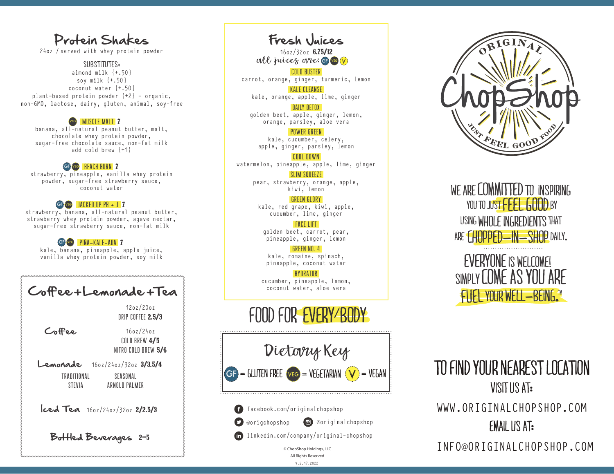## Protein Shakes

24oz / served with whey protein powder

SUBSTITUTES: almond milk {+.50} soy milk {+.50} coconut water {+.50} plant-based protein powder  $\{+2\}$  - organic, non-GMO, lactose, dairy, gluten, animal, soy-free

#### VEG MUSCLE MALT 7

banana, all-natural peanut butter, malt, chocolate whey protein powder, sugar-free chocolate sauce, non-fat milk add cold brew  $\{+1\}$ 

## GP VEG BEACH BURN 7

strawberry, pineapple, vanilla whey protein powder, sugar-free strawberry sauce, coconut water

## GG VGG JACKED UP PB + J 7

strawberry, banana, all-natural peanut butter, strawberry whey protein powder, agave nectar, sugar-free strawberry sauce, non-fat milk

## G**F VEG** PIÑA-KALE-ADA 7

kale, banana, pineapple, apple juice, vanilla whey protein powder, soy milk

| Coffee+Lemonade+Tea                                                                        |                                                   | cucumber, pineapple, lemon,<br>coconut water, aloe vera                           | <b>SIMPLI LUINL AS TUU AN</b><br>FUEL YOUR WELL-BEING." |
|--------------------------------------------------------------------------------------------|---------------------------------------------------|-----------------------------------------------------------------------------------|---------------------------------------------------------|
| Coffee                                                                                     | 12oz/20oz<br>DRIP COFFEE 2.5/3                    | FOOD FOR EVERY BODY                                                               |                                                         |
|                                                                                            | 160z/240z<br>COLD BREW 4/5<br>NITRO COLD BREW 5/6 | Dietory Key                                                                       |                                                         |
| Lemonade<br>$160z/240z/320z$ 3/3.5/4<br>TRADITIONAL<br>SEASONAL<br>ARNOLD PALMER<br>STEVIA |                                                   | $\left\  G \right\  = 6$ luten Free veg = Vegetarian ( $\bigvee$ ) = Vegan        | TO FIND YOUR NEAREST LOC<br>VISITUS AT:                 |
| $ccd$ Tea $160z/240z/320z$ 2/2.5/3                                                         |                                                   | f facebook.com/originalchopshop                                                   | WWW.ORIGINALCHOPSHOP                                    |
| Bottled Beverages 2-5                                                                      |                                                   | co @originalchopshop<br>origchopshop<br>in linkedin.com/company/original-chopshop | <b>EMAIL US AT:</b>                                     |
|                                                                                            |                                                   |                                                                                   |                                                         |

all juices are: G Fresh Juices 16oz/32oz 6.75/12 COLD BUSTER carrot, orange, ginger, turmeric, lemon

KALE CLEANSE kale, orange, apple, lime, ginger

DAILY DETOX golden beet, apple, ginger, lemon, orange, parsley, aloe vera

POWER GREEN kale, cucumber, celery, apple, ginger, parsley, lemon

COOL DOWN watermelon, pineapple, apple, lime, ginger

> SLIM SQUEEZE pear, strawberry, orange, apple, kiwi, lemon

#### **GREEN GLORY**

kale, red grape, kiwi, apple, cucumber, lime, ginger

FACE LIFT golden beet, carrot, pear, pineapple, ginger, lemon

GREEN NO. 4 kale, romaine, spinach, pineapple, coconut water

#### HYDRATOR cucumber, pineapple, lemon, coconut water, aloe vera

# fOOD FOR EVERY BODY

Dietary Key  $GF = GUTEN FREE  $vec = VEGETARIAN$   $(V) = VEGAN$$ 

V.2.17.2022 © ChopShop Holdings, LLC All Rights Reserved



WE ARE COMMITTED TO INSPIRING YOU TO JUST FFFEE GOOD BY using Whole Ingredients that ARE CHOPPED-IN-SHOP DAILY.



VISIT US AT: WWW.ORIGINALCHOPSHOP.COM FMAIL US AT: INFO@ORIGINALCHOPSHOP.COM To find your nearest location